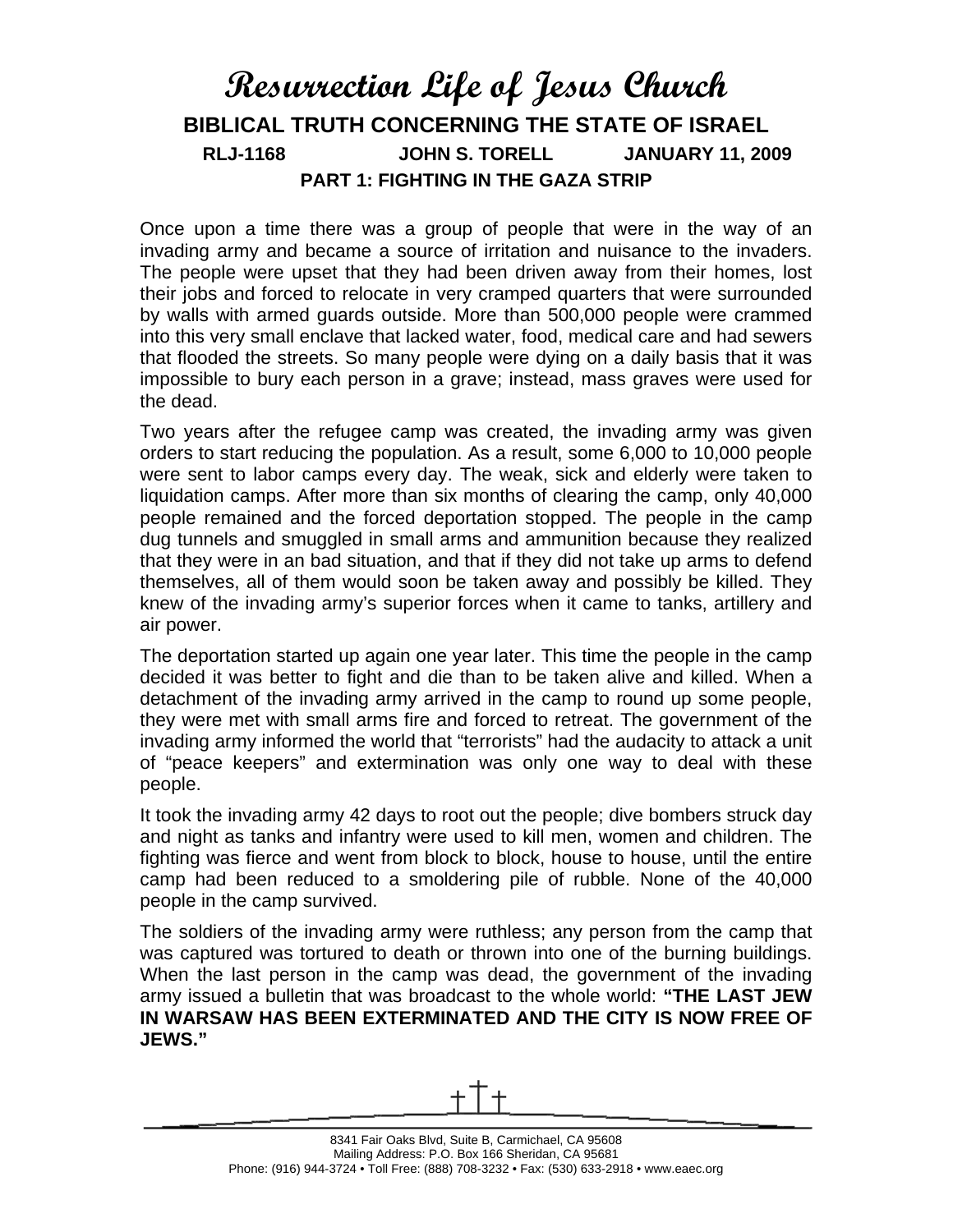# **Resurrection Life of Jesus Church BIBLICAL TRUTH CONCERNING THE STATE OF ISRAEL RLJ-1168 JOHN S. TORELL JANUARY 11, 2009 PART 1: FIGHTING IN THE GAZA STRIP**

Once upon a time there was a group of people that were in the way of an invading army and became a source of irritation and nuisance to the invaders. The people were upset that they had been driven away from their homes, lost their jobs and forced to relocate in very cramped quarters that were surrounded by walls with armed guards outside. More than 500,000 people were crammed into this very small enclave that lacked water, food, medical care and had sewers that flooded the streets. So many people were dying on a daily basis that it was impossible to bury each person in a grave; instead, mass graves were used for the dead.

Two years after the refugee camp was created, the invading army was given orders to start reducing the population. As a result, some 6,000 to 10,000 people were sent to labor camps every day. The weak, sick and elderly were taken to liquidation camps. After more than six months of clearing the camp, only 40,000 people remained and the forced deportation stopped. The people in the camp dug tunnels and smuggled in small arms and ammunition because they realized that they were in an bad situation, and that if they did not take up arms to defend themselves, all of them would soon be taken away and possibly be killed. They knew of the invading army's superior forces when it came to tanks, artillery and air power.

The deportation started up again one year later. This time the people in the camp decided it was better to fight and die than to be taken alive and killed. When a detachment of the invading army arrived in the camp to round up some people, they were met with small arms fire and forced to retreat. The government of the invading army informed the world that "terrorists" had the audacity to attack a unit of "peace keepers" and extermination was only one way to deal with these people.

It took the invading army 42 days to root out the people; dive bombers struck day and night as tanks and infantry were used to kill men, women and children. The fighting was fierce and went from block to block, house to house, until the entire camp had been reduced to a smoldering pile of rubble. None of the 40,000 people in the camp survived.

The soldiers of the invading army were ruthless; any person from the camp that was captured was tortured to death or thrown into one of the burning buildings. When the last person in the camp was dead, the government of the invading army issued a bulletin that was broadcast to the whole world: **"THE LAST JEW IN WARSAW HAS BEEN EXTERMINATED AND THE CITY IS NOW FREE OF JEWS."**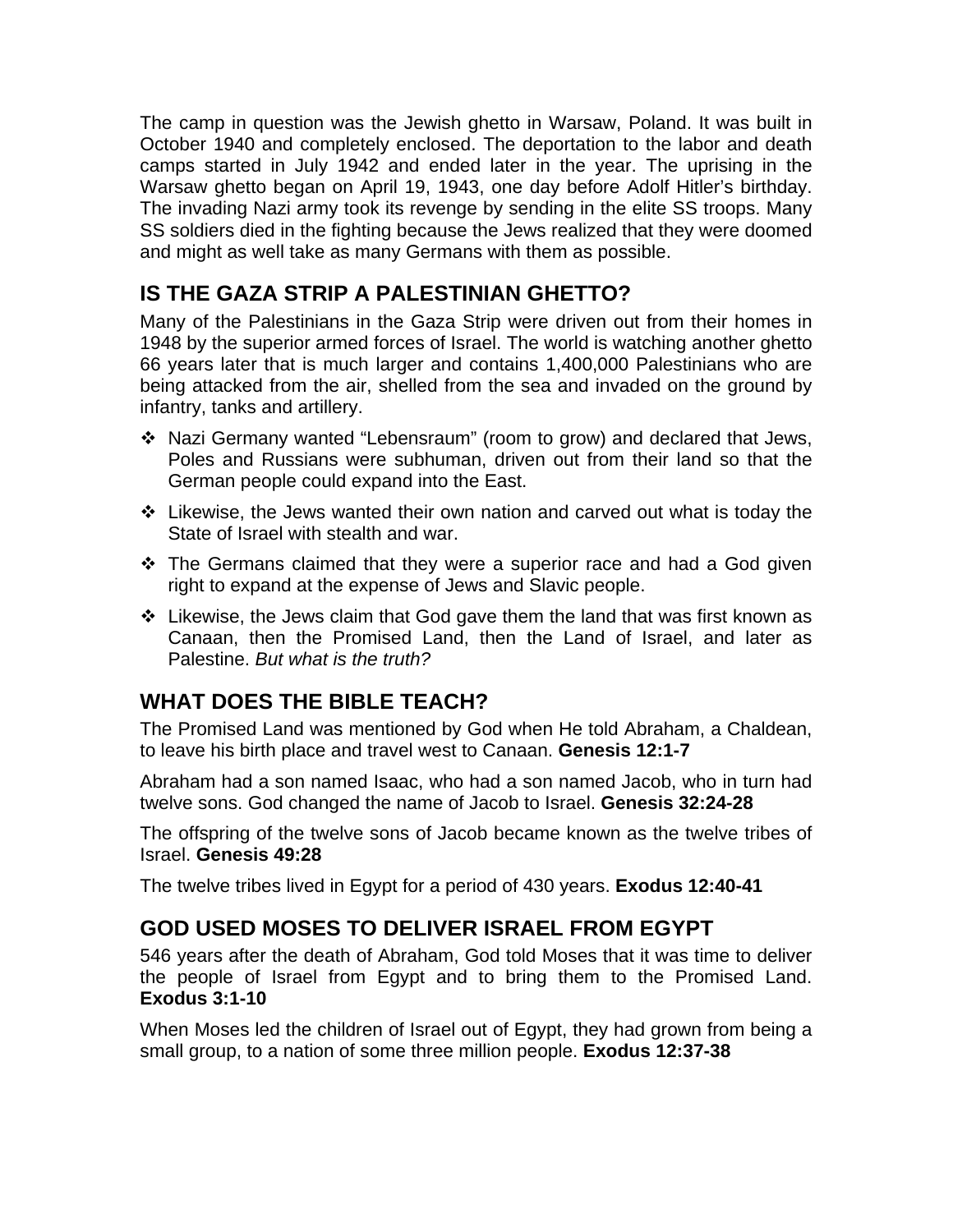The camp in question was the Jewish ghetto in Warsaw, Poland. It was built in October 1940 and completely enclosed. The deportation to the labor and death camps started in July 1942 and ended later in the year. The uprising in the Warsaw ghetto began on April 19, 1943, one day before Adolf Hitler's birthday. The invading Nazi army took its revenge by sending in the elite SS troops. Many SS soldiers died in the fighting because the Jews realized that they were doomed and might as well take as many Germans with them as possible.

## **IS THE GAZA STRIP A PALESTINIAN GHETTO?**

Many of the Palestinians in the Gaza Strip were driven out from their homes in 1948 by the superior armed forces of Israel. The world is watching another ghetto 66 years later that is much larger and contains 1,400,000 Palestinians who are being attacked from the air, shelled from the sea and invaded on the ground by infantry, tanks and artillery.

- Nazi Germany wanted "Lebensraum" (room to grow) and declared that Jews, Poles and Russians were subhuman, driven out from their land so that the German people could expand into the East.
- Likewise, the Jews wanted their own nation and carved out what is today the State of Israel with stealth and war.
- \* The Germans claimed that they were a superior race and had a God given right to expand at the expense of Jews and Slavic people.
- $\div$  Likewise, the Jews claim that God gave them the land that was first known as Canaan, then the Promised Land, then the Land of Israel, and later as Palestine. *But what is the truth?*

### **WHAT DOES THE BIBLE TEACH?**

The Promised Land was mentioned by God when He told Abraham, a Chaldean, to leave his birth place and travel west to Canaan. **Genesis 12:1-7** 

Abraham had a son named Isaac, who had a son named Jacob, who in turn had twelve sons. God changed the name of Jacob to Israel. **Genesis 32:24-28** 

The offspring of the twelve sons of Jacob became known as the twelve tribes of Israel. **Genesis 49:28** 

The twelve tribes lived in Egypt for a period of 430 years. **Exodus 12:40-41** 

### **GOD USED MOSES TO DELIVER ISRAEL FROM EGYPT**

546 years after the death of Abraham, God told Moses that it was time to deliver the people of Israel from Egypt and to bring them to the Promised Land. **Exodus 3:1-10** 

When Moses led the children of Israel out of Egypt, they had grown from being a small group, to a nation of some three million people. **Exodus 12:37-38**